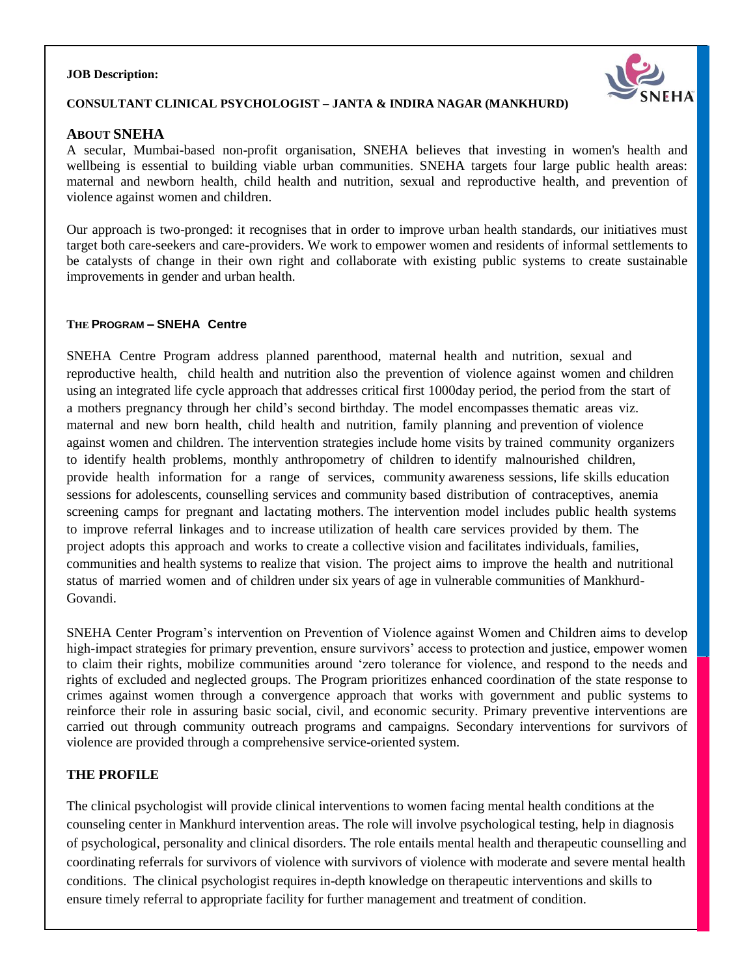#### **JOB Description:**



#### **CONSULTANT CLINICAL PSYCHOLOGIST – JANTA & INDIRA NAGAR (MANKHURD)**

#### **ABOUT SNEHA**

A secular, Mumbai-based non-profit organisation, SNEHA believes that investing in women's health and wellbeing is essential to building viable urban communities. SNEHA targets four large public health areas: maternal and newborn health, child health and nutrition, sexual and reproductive health, and prevention of violence against women and children.

Our approach is two-pronged: it recognises that in order to improve urban health standards, our initiatives must target both care-seekers and care-providers. We work to empower women and residents of informal settlements to be catalysts of change in their own right and collaborate with existing public systems to create sustainable improvements in gender and urban health.

#### **THE PROGRAM – SNEHA Centre**

SNEHA Centre Program address planned parenthood, maternal health and nutrition, sexual and reproductive health, child health and nutrition also the prevention of violence against women and children using an integrated life cycle approach that addresses critical first 1000day period, the period from the start of a mothers pregnancy through her child's second birthday. The model encompasses thematic areas viz. maternal and new born health, child health and nutrition, family planning and prevention of violence against women and children. The intervention strategies include home visits by trained community organizers to identify health problems, monthly anthropometry of children to identify malnourished children, provide health information for a range of services, community awareness sessions, life skills education sessions for adolescents, counselling services and community based distribution of contraceptives, anemia screening camps for pregnant and lactating mothers. The intervention model includes public health systems to improve referral linkages and to increase utilization of health care services provided by them. The project adopts this approach and works to create a collective vision and facilitates individuals, families, communities and health systems to realize that vision. The project aims to improve the health and nutritional status of married women and of children under six years of age in vulnerable communities of Mankhurd-Govandi.

SNEHA Center Program's intervention on Prevention of Violence against Women and Children aims to develop high-impact strategies for primary prevention, ensure survivors' access to protection and justice, empower women to claim their rights, mobilize communities around 'zero tolerance for violence, and respond to the needs and rights of excluded and neglected groups. The Program prioritizes enhanced coordination of the state response to crimes against women through a convergence approach that works with government and public systems to reinforce their role in assuring basic social, civil, and economic security. Primary preventive interventions are carried out through community outreach programs and campaigns. Secondary interventions for survivors of violence are provided through a comprehensive service-oriented system.

#### **THE PROFILE**

The clinical psychologist will provide clinical interventions to women facing mental health conditions at the counseling center in Mankhurd intervention areas. The role will involve psychological testing, help in diagnosis of psychological, personality and clinical disorders. The role entails mental health and therapeutic counselling and coordinating referrals for survivors of violence with survivors of violence with moderate and severe mental health conditions. The clinical psychologist requires in-depth knowledge on therapeutic interventions and skills to ensure timely referral to appropriate facility for further management and treatment of condition.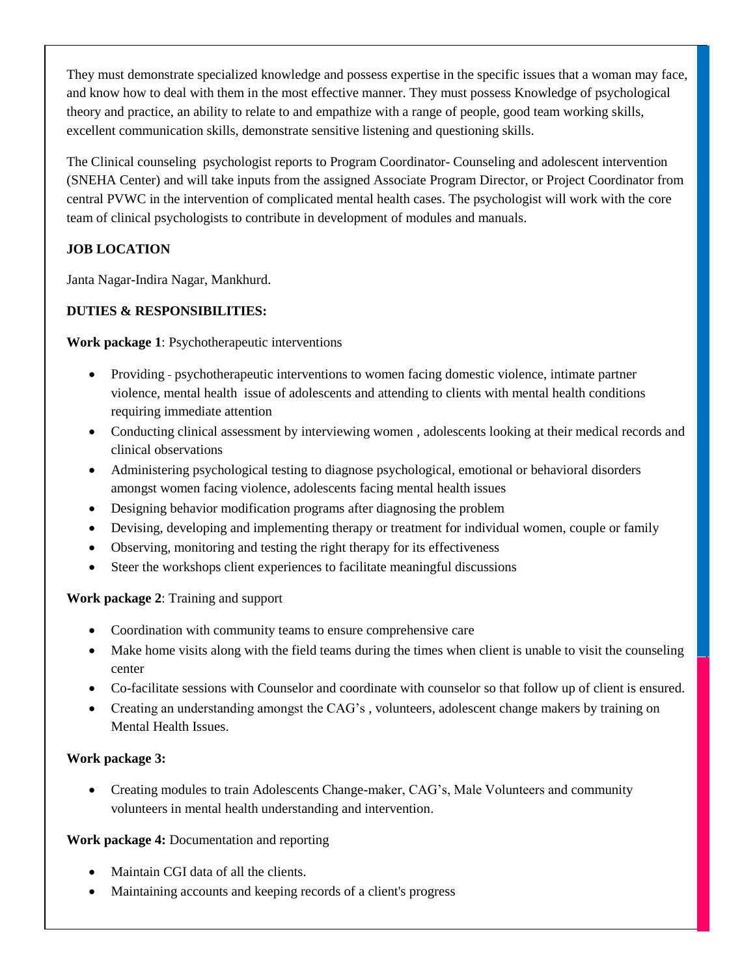They must demonstrate specialized knowledge and possess expertise in the specific issues that a woman may face, and know how to deal with them in the most effective manner. They must possess Knowledge of psychological theory and practice, an ability to relate to and empathize with a range of people, good team working skills, excellent communication skills, demonstrate sensitive listening and questioning skills.

The Clinical counseling psychologist reports to Program Coordinator- Counseling and adolescent intervention (SNEHA Center) and will take inputs from the assigned Associate Program Director, or Project Coordinator from central PVWC in the intervention of complicated mental health cases. The psychologist will work with the core team of clinical psychologists to contribute in development of modules and manuals.

# **JOB LOCATION**

Janta Nagar-Indira Nagar, Mankhurd.

## **DUTIES & RESPONSIBILITIES:**

**Work package 1**: Psychotherapeutic interventions

- Providing psychotherapeutic interventions to women facing domestic violence, intimate partner violence, mental health issue of adolescents and attending to clients with mental health conditions requiring immediate attention
- Conducting clinical assessment by interviewing women, adolescents looking at their medical records and clinical observations
- Administering psychological testing to diagnose psychological, emotional or behavioral disorders amongst women facing violence, adolescents facing mental health issues
- Designing behavior modification programs after diagnosing the problem
- Devising, developing and implementing therapy or treatment for individual women, couple or family
- Observing, monitoring and testing the right therapy for its effectiveness
- Steer the workshops client experiences to facilitate meaningful discussions

## **Work package 2**: Training and support

- Coordination with community teams to ensure comprehensive care
- Make home visits along with the field teams during the times when client is unable to visit the counseling center
- Co-facilitate sessions with Counselor and coordinate with counselor so that follow up of client is ensured.
- Creating an understanding amongst the CAG's , volunteers, adolescent change makers by training on Mental Health Issues.

## **Work package 3:**

• Creating modules to train Adolescents Change-maker, CAG's, Male Volunteers and community volunteers in mental health understanding and intervention.

## **Work package 4:** Documentation and reporting

- Maintain CGI data of all the clients.
- Maintaining accounts and keeping records of a client's progress